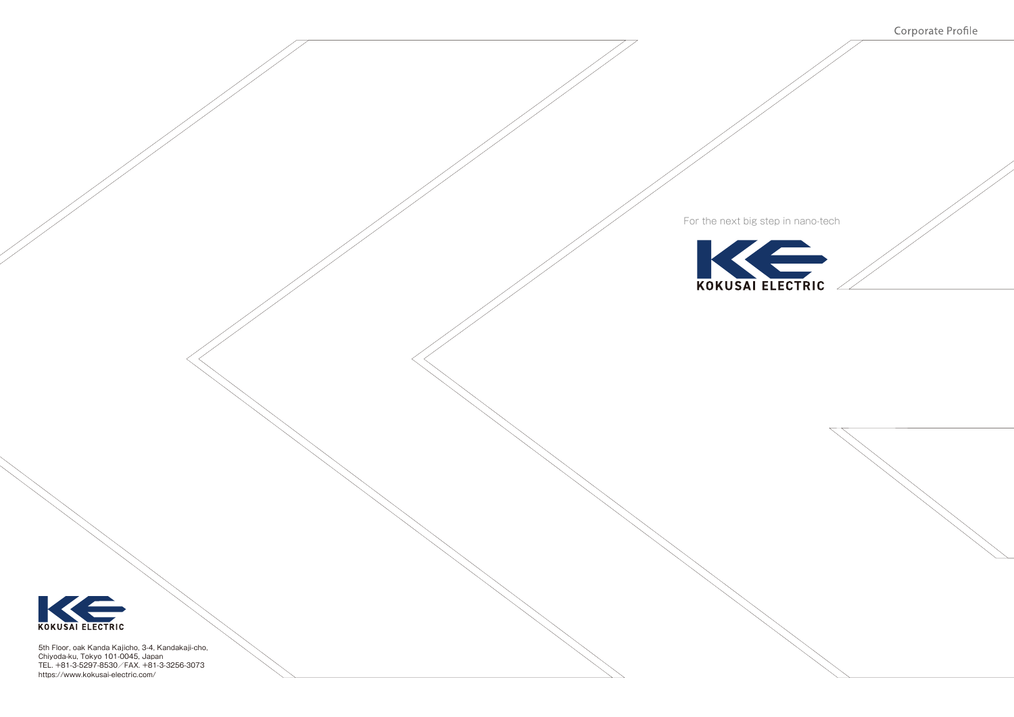

Corporate Profile



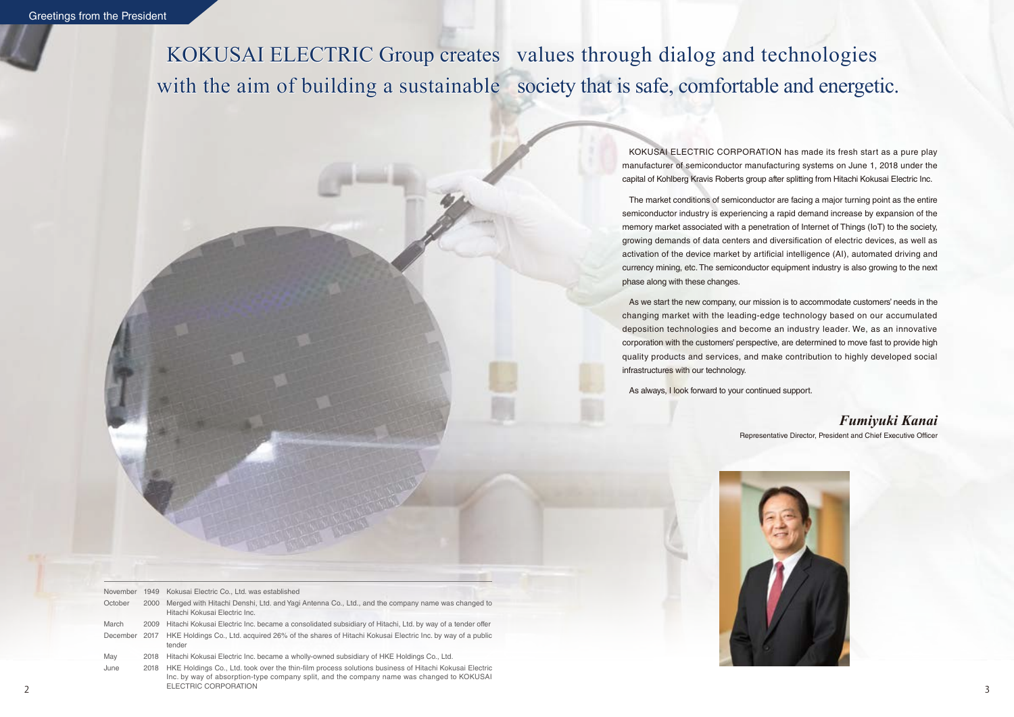KOKUSAI ELECTRIC CORPORATION has made its fresh start as a pure play manufacturer of semiconductor manufacturing systems on June 1, 2018 under the capital of Kohlberg Kravis Roberts group after splitting from Hitachi Kokusai Electric Inc.

The market conditions of semiconductor are facing a major turning point as the entire semiconductor industry is experiencing a rapid demand increase by expansion of the memory market associated with a penetration of Internet of Things (IoT) to the society, growing demands of data centers and diversification of electric devices, as well as activation of the device market by artificial intelligence (AI), automated driving and currency mining, etc. The semiconductor equipment industry is also growing to the next phase along with these changes.

KOKUSAI ELECTRIC Group creates values through dialog and technologies with the aim of building a sustainable society that is safe, comfortable and energetic.

> As we start the new company, our mission is to accommodate customers' needs in the changing market with the leading-edge technology based on our accumulated deposition technologies and become an industry leader. We, as an innovative corporation with the customers' perspective, are determined to move fast to provide high quality products and services, and make contribution to highly developed social infrastructures with our technology.

As always, I look forward to your continued support.

Representative Director, President and Chief Executive Officer



## *Fumiyuki Kanai*

| November | 1949 | Kokusai Electric Co., Ltd. was established                                                                                                                                                         |  |
|----------|------|----------------------------------------------------------------------------------------------------------------------------------------------------------------------------------------------------|--|
| October  | 2000 | Merged with Hitachi Denshi, Ltd. and Yagi Antenna Co., Ltd., and the company name was changed to<br>Hitachi Kokusai Electric Inc.                                                                  |  |
| March    | 2009 | Hitachi Kokusai Electric Inc. became a consolidated subsidiary of Hitachi, Ltd. by way of a tender offer                                                                                           |  |
| December | 2017 | HKE Holdings Co., Ltd. acquired 26% of the shares of Hitachi Kokusai Electric Inc. by way of a public<br>tender                                                                                    |  |
| May      | 2018 | Hitachi Kokusai Electric Inc. became a wholly-owned subsidiary of HKE Holdings Co., Ltd.                                                                                                           |  |
| June     | 2018 | HKE Holdings Co., Ltd. took over the thin-film process solutions business of Hitachi Kokusai Electric<br>Inc. by way of absorption-type company split, and the company name was changed to KOKUSAI |  |

ELECTRIC CORPORATION

ELECTRIC CORPORATION 3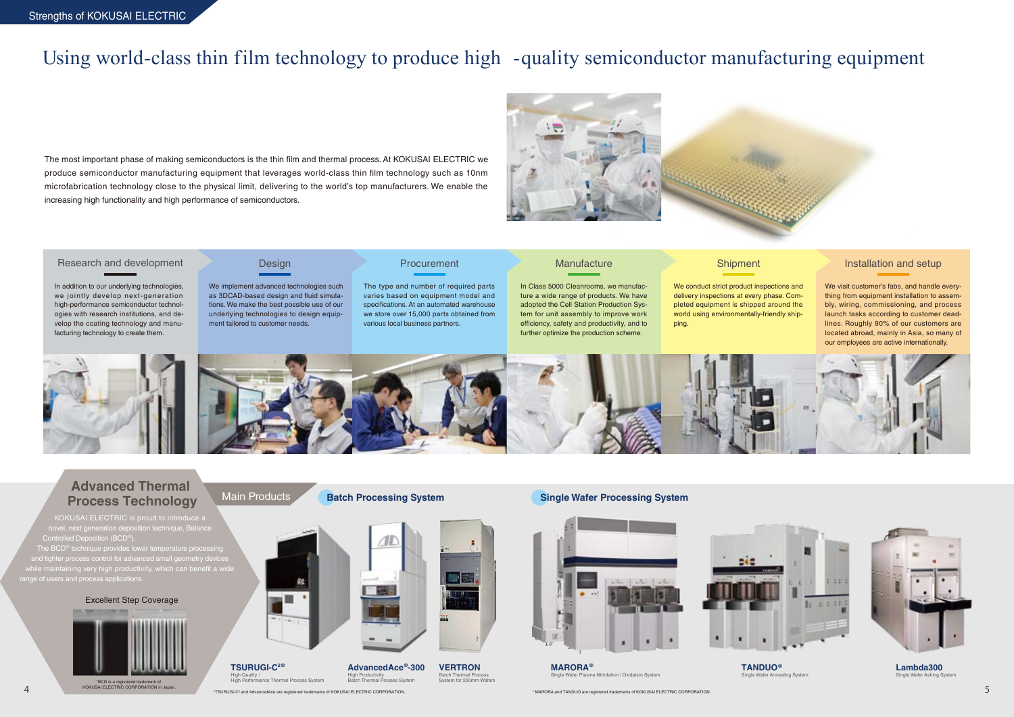The type and number of required parts varies based on equipment model and specifications. At an automated warehouse we store over 15,000 parts obtained from various local business partners.

#### **Manufacture**

The most important phase of making semiconductors is the thin film and thermal process. At KOKUSAI ELECTRIC we produce semiconductor manufacturing equipment that leverages world-class thin film technology such as 10nm microfabrication technology close to the physical limit, delivering to the world's top manufacturers. We enable the increasing high functionality and high performance of semiconductors.





In addition to our underlying technologies, we jointly develop next-generation high-performance semiconductor technologies with research institutions, and develop the coating technology and manufacturing technology to create them.

# Using world-class thin film technology to produce high -quality semiconductor manufacturing equipment

In Class 5000 Cleanrooms, we manufacture a wide range of products. We have adopted the Cell Station Production System for unit assembly to improve work efficiency, safety and productivity, and to further optimize the production scheme.

## **Shipment**

#### Research and development

KOKUSAI ELECTRIC is proud to introduce a novel, next generation deposition technique, Balance Controlled Deposition (BCD®).  $\overline{\text{The BCD}^{\textcirc}}$  technique provides lower temperature  $\overline{\text{RCD}^{\textcirc}}$ 

We implement advanced technologies such as 3DCAD-based design and fluid simulations. We make the best possible use of our underlying technologies to design equipment tailored to customer needs.

### **Procurement**

\*BCD is a registered trademark of KOKUSAI ELECTRIC CORPORATION in Jap

### Design

We conduct strict product inspections and delivery inspections at every phase. Completed equipment is shipped around the world using environmentally-friendly shipping.





We visit customer's fabs, and handle everything from equipment installation to assembly, wiring, commissioning, and process launch tasks according to customer deadlines. Roughly 90% of our customers are located abroad, mainly in Asia, so many of our employees are active internationally.

aling Systen

### Installation and setup



## **Advanced Thermal Process Technology**

and tighter process control for advanced small geometry devices while maintaining very high productivity, which can benefit a wide range of users and process applications.

\*TSURUGI-C2 and AdvancedAce are registered trademarks of KOKUSAI ELECTRIC CORPORATION. \*MARORA and TANDUO are registered trademarks of KOKUSAI ELECTRIC CORPORATION. 4 5

asma Nitridation / Oxidation System

#### Excellent Step Coverage





**AdvancedAce®-300 VERTRON** High Productivity Batch Thermal Process System

Batch Thermal Process System for 200mm Wafers

**Batch Processing System Single Wafer Processing System** 





**MARORA®**

**TANDUO®**



**Lambda300** Single Wafer Ashing System